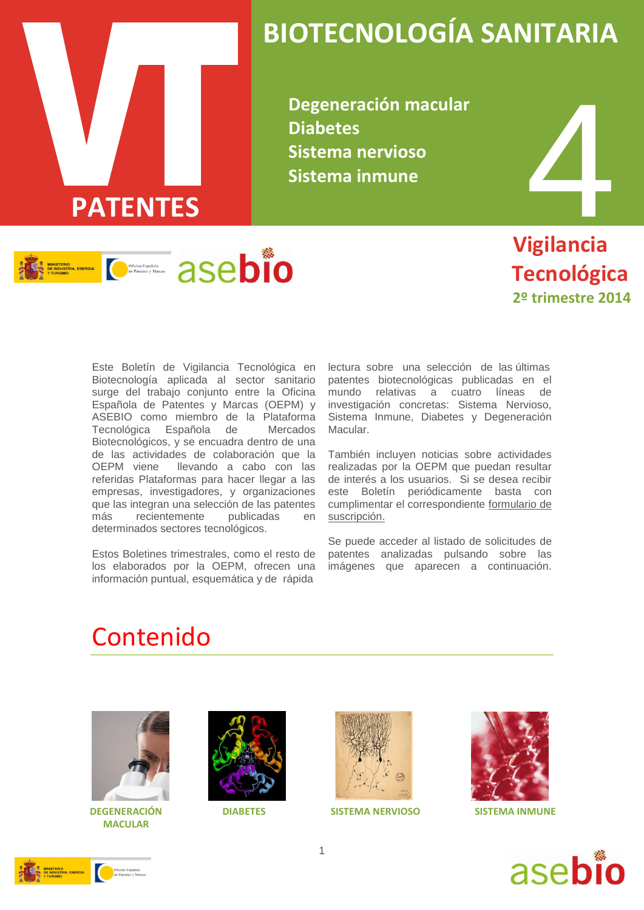

# **BIOTECNOLOGÍA SANITARIA**

**Degeneración macular Diabetes Sistema nervioso Sistema inmune**



 **Vigilancia Tecnológica 2º trimestre 2014**

Este Boletín de Vigilancia Tecnológica en Biotecnología aplicada al sector sanitario surge del trabajo conjunto entre la Oficina Española de Patentes y Marcas (OEPM) y ASEBIO como miembro de la Plataforma Tecnológica Española de Mercados Biotecnológicos, y se encuadra dentro de una de las actividades de colaboración que la OEPM viene llevando a cabo con las referidas Plataformas para hacer llegar a las empresas, investigadores, y organizaciones que las integran una selección de las patentes más recientemente publicadas en determinados sectores tecnológicos.

Estos Boletines trimestrales, como el resto de los elaborados por la OEPM, ofrecen una información puntual, esquemática y de rápida

lectura sobre una selección de las últimas patentes biotecnológicas publicadas en el mundo relativas a cuatro líneas de investigación concretas: Sistema Nervioso, Sistema Inmune, Diabetes y Degeneración Macular.

También incluyen noticias sobre actividades realizadas por la OEPM que puedan resultar de interés a los usuarios. Si se desea recibir este Boletín periódicamente basta con cumplimentar el correspondiente [formulario de](http://www.oepm.es/es/informacion_tecnologica/informacion_gratuita/boletines_de_vigilancia_tecnologica/formulario.html)  [suscripción.](http://www.oepm.es/es/informacion_tecnologica/informacion_gratuita/boletines_de_vigilancia_tecnologica/formulario.html)

Se puede acceder al listado de solicitudes de patentes analizadas pulsando sobre las imágenes que aparecen a continuación.

## Contenido



 **DEGENERACIÓN DIABETES MACULAR**





**SISTEMA NERVIOSO SISTEMA INMUNE**





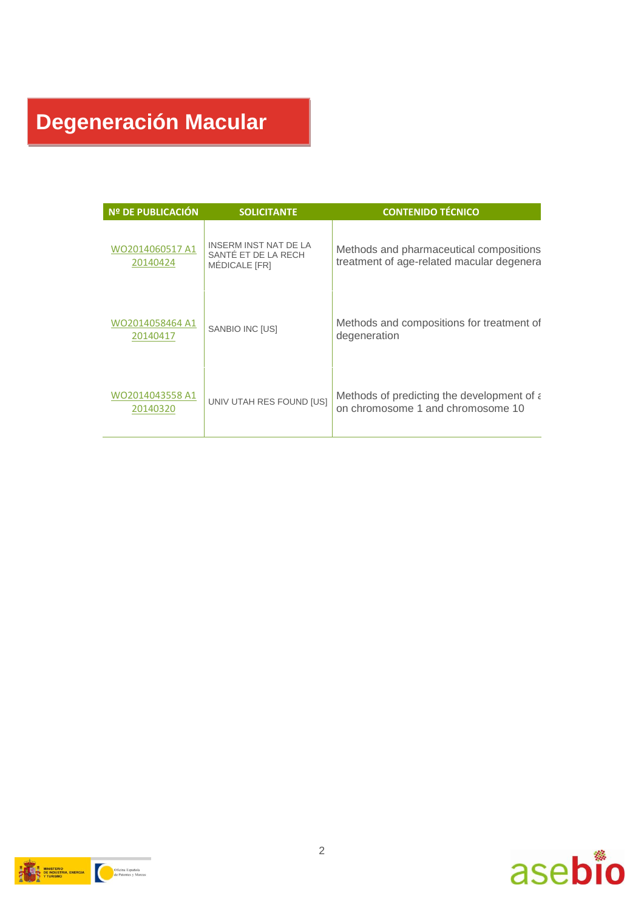# **Degeneración Macular**

| Nº DE PUBLICACIÓN           | <b>SOLICITANTE</b>                                            | <b>CONTENIDO TÉCNICO</b>                                                             |
|-----------------------------|---------------------------------------------------------------|--------------------------------------------------------------------------------------|
| WO2014060517 A1<br>20140424 | INSERM INST NAT DE LA<br>SANTÉ ET DE LA RECH<br>MEDICALE [FR] | Methods and pharmaceutical compositions<br>treatment of age-related macular degenera |
| WO2014058464 A1<br>20140417 | SANBIO INC [US]                                               | Methods and compositions for treatment of<br>degeneration                            |
| WO2014043558 A1<br>20140320 | UNIV UTAH RES FOUND [US]                                      | Methods of predicting the development of a<br>on chromosome 1 and chromosome 10      |



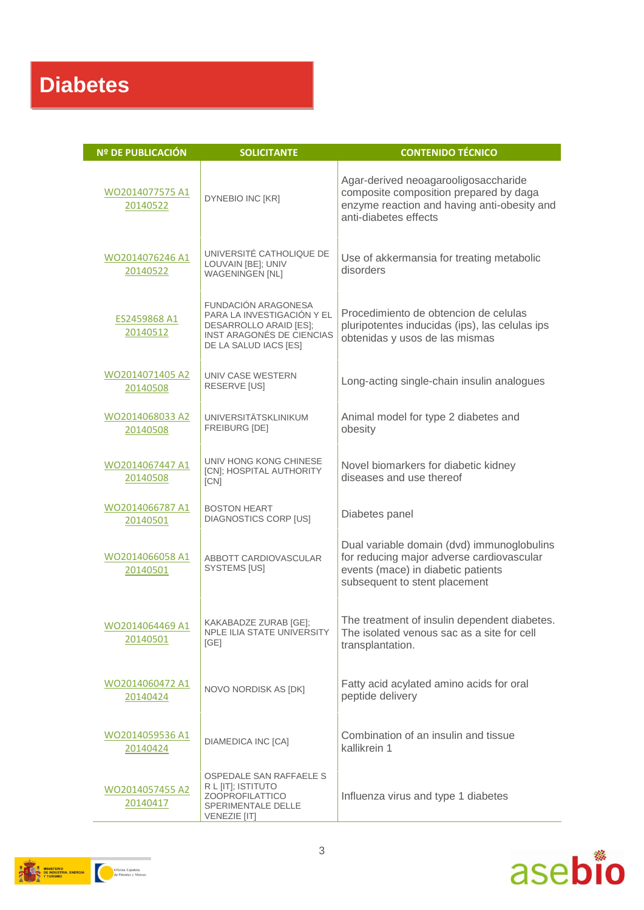| <b>Nº DE PUBLICACIÓN</b>    | <b>SOLICITANTE</b>                                                                                                                       | <b>CONTENIDO TÉCNICO</b>                                                                                                                                       |
|-----------------------------|------------------------------------------------------------------------------------------------------------------------------------------|----------------------------------------------------------------------------------------------------------------------------------------------------------------|
| WO2014077575 A1<br>20140522 | DYNEBIO INC [KR]                                                                                                                         | Agar-derived neoagarooligosaccharide<br>composite composition prepared by daga<br>enzyme reaction and having anti-obesity and<br>anti-diabetes effects         |
| WO2014076246 A1<br>20140522 | UNIVERSITÉ CATHOLIQUE DE<br>LOUVAIN [BE]; UNIV<br><b>WAGENINGEN [NL]</b>                                                                 | Use of akkermansia for treating metabolic<br>disorders                                                                                                         |
| ES2459868 A1<br>20140512    | <b>FUNDACIÓN ARAGONESA</b><br>PARA LA INVESTIGACIÓN Y EL<br>DESARROLLO ARAID [ES];<br>INST ARAGONÉS DE CIENCIAS<br>DE LA SALUD IACS [ES] | Procedimiento de obtencion de celulas<br>pluripotentes inducidas (ips), las celulas ips<br>obtenidas y usos de las mismas                                      |
| WO2014071405 A2<br>20140508 | UNIV CASE WESTERN<br>RESERVE [US]                                                                                                        | Long-acting single-chain insulin analogues                                                                                                                     |
| WO2014068033 A2<br>20140508 | <b>UNIVERSITÄTSKLINIKUM</b><br><b>FREIBURG [DE]</b>                                                                                      | Animal model for type 2 diabetes and<br>obesity                                                                                                                |
| WO2014067447 A1<br>20140508 | UNIV HONG KONG CHINESE<br>[CN]; HOSPITAL AUTHORITY<br>[CN]                                                                               | Novel biomarkers for diabetic kidney<br>diseases and use thereof                                                                                               |
| WO2014066787 A1<br>20140501 | <b>BOSTON HEART</b><br><b>DIAGNOSTICS CORP [US]</b>                                                                                      | Diabetes panel                                                                                                                                                 |
| WO2014066058 A1<br>20140501 | ABBOTT CARDIOVASCULAR<br>SYSTEMS [US]                                                                                                    | Dual variable domain (dvd) immunoglobulins<br>for reducing major adverse cardiovascular<br>events (mace) in diabetic patients<br>subsequent to stent placement |
| WO2014064469 A1<br>20140501 | KAKABADZE ZURAB [GE];<br>NPLE ILIA STATE UNIVERSITY<br>[GE]                                                                              | The treatment of insulin dependent diabetes.<br>The isolated venous sac as a site for cell<br>transplantation.                                                 |
| WO2014060472 A1<br>20140424 | NOVO NORDISK AS [DK]                                                                                                                     | Fatty acid acylated amino acids for oral<br>peptide delivery                                                                                                   |
| WO2014059536 A1<br>20140424 | <b>DIAMEDICA INC [CA]</b>                                                                                                                | Combination of an insulin and tissue<br>kallikrein 1                                                                                                           |
| WO2014057455 A2<br>20140417 | OSPEDALE SAN RAFFAELE S<br>R L [IT]; ISTITUTO<br><b>ZOOPROFILATTICO</b><br>SPERIMENTALE DELLE<br><b>VENEZIE [IT]</b>                     | Influenza virus and type 1 diabetes                                                                                                                            |



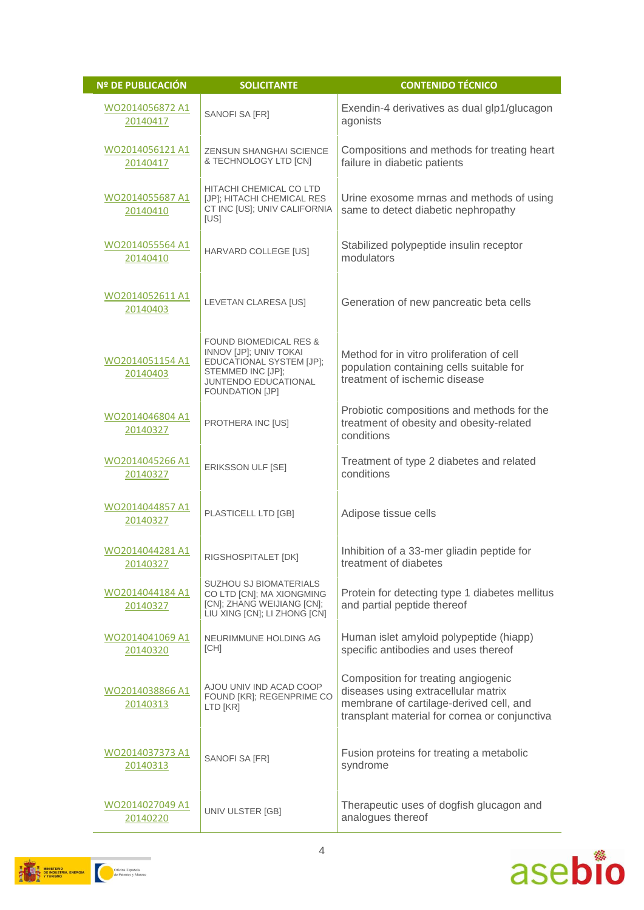| <b>Nº DE PUBLICACIÓN</b>    | <b>SOLICITANTE</b>                                                                                                                                      | <b>CONTENIDO TÉCNICO</b>                                                                                                                                               |
|-----------------------------|---------------------------------------------------------------------------------------------------------------------------------------------------------|------------------------------------------------------------------------------------------------------------------------------------------------------------------------|
| WO2014056872 A1<br>20140417 | SANOFI SA [FR]                                                                                                                                          | Exendin-4 derivatives as dual glp1/glucagon<br>agonists                                                                                                                |
| WO2014056121 A1<br>20140417 | ZENSUN SHANGHAI SCIENCE<br>& TECHNOLOGY LTD [CN]                                                                                                        | Compositions and methods for treating heart<br>failure in diabetic patients                                                                                            |
| WO2014055687 A1<br>20140410 | HITACHI CHEMICAL CO LTD<br>[JP]; HITACHI CHEMICAL RES<br>CT INC [US]; UNIV CALIFORNIA<br>[US]                                                           | Urine exosome mrnas and methods of using<br>same to detect diabetic nephropathy                                                                                        |
| WO2014055564 A1<br>20140410 | HARVARD COLLEGE [US]                                                                                                                                    | Stabilized polypeptide insulin receptor<br>modulators                                                                                                                  |
| WO2014052611 A1<br>20140403 | LEVETAN CLARESA [US]                                                                                                                                    | Generation of new pancreatic beta cells                                                                                                                                |
| WO2014051154 A1<br>20140403 | <b>FOUND BIOMEDICAL RES &amp;</b><br>INNOV [JP]; UNIV TOKAI<br>EDUCATIONAL SYSTEM [JP];<br>STEMMED INC [JP];<br>JUNTENDO EDUCATIONAL<br>FOUNDATION [JP] | Method for in vitro proliferation of cell<br>population containing cells suitable for<br>treatment of ischemic disease                                                 |
| WO2014046804 A1<br>20140327 | PROTHERA INC [US]                                                                                                                                       | Probiotic compositions and methods for the<br>treatment of obesity and obesity-related<br>conditions                                                                   |
| WO2014045266 A1<br>20140327 | ERIKSSON ULF [SE]                                                                                                                                       | Treatment of type 2 diabetes and related<br>conditions                                                                                                                 |
| WO2014044857 A1<br>20140327 | PLASTICELL LTD [GB]                                                                                                                                     | Adipose tissue cells                                                                                                                                                   |
| WO2014044281 A1<br>20140327 | RIGSHOSPITALET [DK]                                                                                                                                     | Inhibition of a 33-mer gliadin peptide for<br>treatment of diabetes                                                                                                    |
| WO2014044184 A1<br>20140327 | SUZHOU SJ BIOMATERIALS<br>CO LTD [CN]; MA XIONGMING<br>[CN]; ZHANG WEIJIANG [CN];<br>LIU XING [CN]; LI ZHONG [CN]                                       | Protein for detecting type 1 diabetes mellitus<br>and partial peptide thereof                                                                                          |
| WO2014041069 A1<br>20140320 | NEURIMMUNE HOLDING AG<br>[CH]                                                                                                                           | Human islet amyloid polypeptide (hiapp)<br>specific antibodies and uses thereof                                                                                        |
| WO2014038866 A1<br>20140313 | AJOU UNIV IND ACAD COOP<br>FOUND [KR]; REGENPRIME CO<br>LTD [KR]                                                                                        | Composition for treating angiogenic<br>diseases using extracellular matrix<br>membrane of cartilage-derived cell, and<br>transplant material for cornea or conjunctiva |
| WO2014037373 A1<br>20140313 | SANOFI SA [FR]                                                                                                                                          | Fusion proteins for treating a metabolic<br>syndrome                                                                                                                   |
| WO2014027049 A1<br>20140220 | UNIV ULSTER [GB]                                                                                                                                        | Therapeutic uses of dogfish glucagon and<br>analogues thereof                                                                                                          |



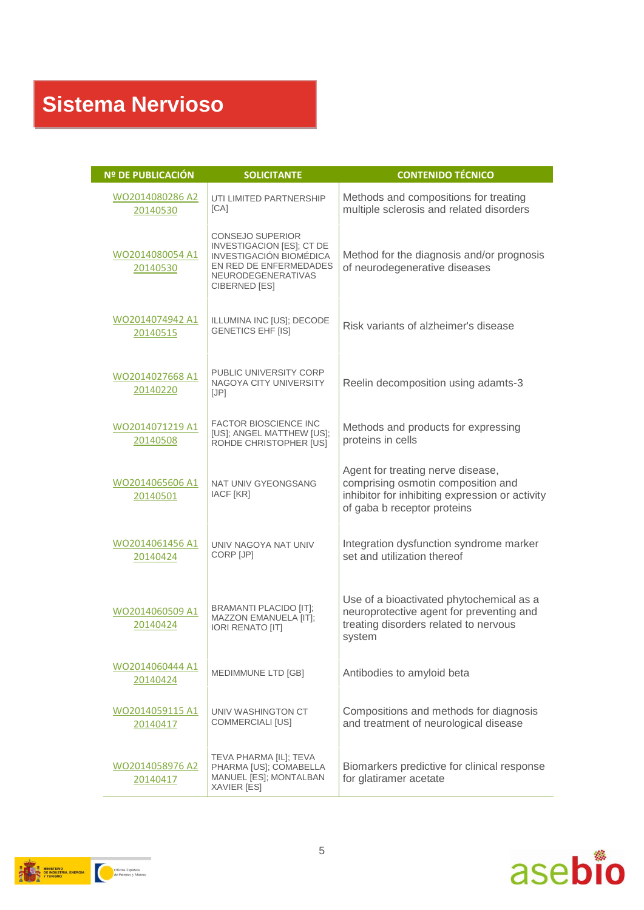| Nº DE PUBLICACIÓN           | <b>SOLICITANTE</b>                                                                                                                               | <b>CONTENIDO TÉCNICO</b>                                                                                                                                  |
|-----------------------------|--------------------------------------------------------------------------------------------------------------------------------------------------|-----------------------------------------------------------------------------------------------------------------------------------------------------------|
| WO2014080286 A2<br>20140530 | UTI LIMITED PARTNERSHIP<br>[CA]                                                                                                                  | Methods and compositions for treating<br>multiple sclerosis and related disorders                                                                         |
| WO2014080054 A1<br>20140530 | <b>CONSEJO SUPERIOR</b><br>INVESTIGACION [ES]; CT DE<br>INVESTIGACIÓN BIOMÉDICA<br>EN RED DE ENFERMEDADES<br>NEURODEGENERATIVAS<br>CIBERNED [ES] | Method for the diagnosis and/or prognosis<br>of neurodegenerative diseases                                                                                |
| WO2014074942 A1<br>20140515 | ILLUMINA INC [US]; DECODE<br><b>GENETICS EHF [IS]</b>                                                                                            | Risk variants of alzheimer's disease                                                                                                                      |
| WO2014027668 A1<br>20140220 | PUBLIC UNIVERSITY CORP<br>NAGOYA CITY UNIVERSITY<br>[JP]                                                                                         | Reelin decomposition using adamts-3                                                                                                                       |
| WO2014071219 A1<br>20140508 | <b>FACTOR BIOSCIENCE INC</b><br>[US]; ANGEL MATTHEW [US];<br>ROHDE CHRISTOPHER [US]                                                              | Methods and products for expressing<br>proteins in cells                                                                                                  |
| WO2014065606 A1<br>20140501 | NAT UNIV GYEONGSANG<br>IACF [KR]                                                                                                                 | Agent for treating nerve disease,<br>comprising osmotin composition and<br>inhibitor for inhibiting expression or activity<br>of gaba b receptor proteins |
| WO2014061456 A1<br>20140424 | UNIV NAGOYA NAT UNIV<br>CORP [JP]                                                                                                                | Integration dysfunction syndrome marker<br>set and utilization thereof                                                                                    |
| WO2014060509 A1<br>20140424 | <b>BRAMANTI PLACIDO [IT];</b><br>MAZZON EMANUELA [IT];<br><b>IORI RENATO [IT]</b>                                                                | Use of a bioactivated phytochemical as a<br>neuroprotective agent for preventing and<br>treating disorders related to nervous<br>system                   |
| WO2014060444 A1<br>20140424 | MEDIMMUNE LTD [GB]                                                                                                                               | Antibodies to amyloid beta                                                                                                                                |
| WO2014059115 A1<br>20140417 | UNIV WASHINGTON CT<br>COMMERCIALI [US]                                                                                                           | Compositions and methods for diagnosis<br>and treatment of neurological disease                                                                           |
| WO2014058976 A2<br>20140417 | TEVA PHARMA [IL]; TEVA<br>PHARMA [US]; COMABELLA<br>MANUEL [ES]; MONTALBAN<br>XAVIER [ES]                                                        | Biomarkers predictive for clinical response<br>for glatiramer acetate                                                                                     |



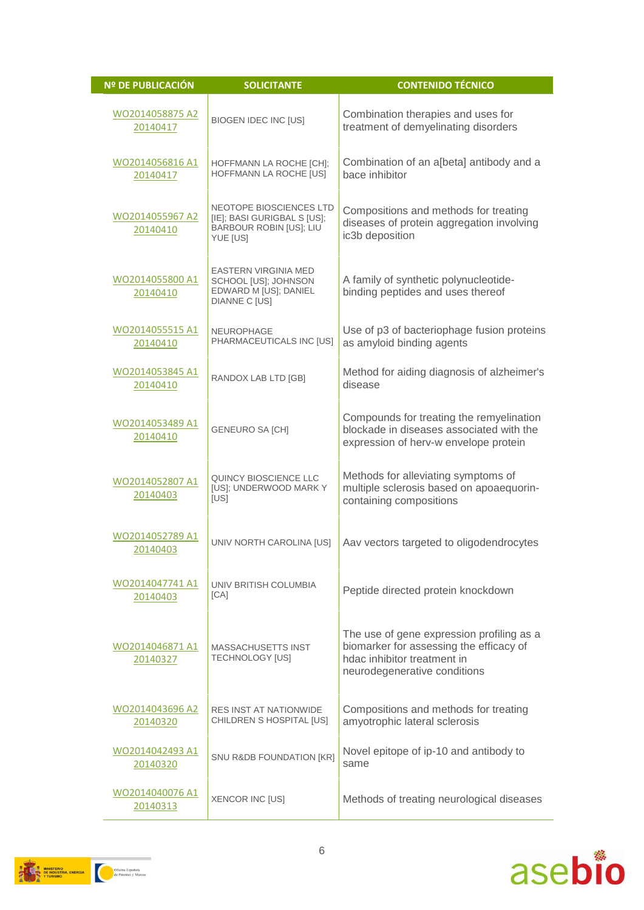| <b>Nº DE PUBLICACIÓN</b>    | <b>SOLICITANTE</b>                                                                            | <b>CONTENIDO TÉCNICO</b>                                                                                                                            |
|-----------------------------|-----------------------------------------------------------------------------------------------|-----------------------------------------------------------------------------------------------------------------------------------------------------|
| WO2014058875 A2<br>20140417 | <b>BIOGEN IDEC INC [US]</b>                                                                   | Combination therapies and uses for<br>treatment of demyelinating disorders                                                                          |
| WO2014056816 A1<br>20140417 | HOFFMANN LA ROCHE [CH];<br>HOFFMANN LA ROCHE [US]                                             | Combination of an a[beta] antibody and a<br>bace inhibitor                                                                                          |
| WO2014055967 A2<br>20140410 | NEOTOPE BIOSCIENCES LTD<br>[IE]; BASI GURIGBAL S [US];<br>BARBOUR ROBIN [US]; LIU<br>YUE [US] | Compositions and methods for treating<br>diseases of protein aggregation involving<br>ic3b deposition                                               |
| WO2014055800 A1<br>20140410 | <b>EASTERN VIRGINIA MED</b><br>SCHOOL [US]; JOHNSON<br>EDWARD M [US]; DANIEL<br>DIANNE C [US] | A family of synthetic polynucleotide-<br>binding peptides and uses thereof                                                                          |
| WO2014055515 A1<br>20140410 | <b>NEUROPHAGE</b><br>PHARMACEUTICALS INC [US]                                                 | Use of p3 of bacteriophage fusion proteins<br>as amyloid binding agents                                                                             |
| WO2014053845 A1<br>20140410 | RANDOX LAB LTD [GB]                                                                           | Method for aiding diagnosis of alzheimer's<br>disease                                                                                               |
| WO2014053489 A1<br>20140410 | <b>GENEURO SA [CH]</b>                                                                        | Compounds for treating the remyelination<br>blockade in diseases associated with the<br>expression of herv-w envelope protein                       |
| WO2014052807 A1<br>20140403 | QUINCY BIOSCIENCE LLC<br>[US]; UNDERWOOD MARK Y<br>[US]                                       | Methods for alleviating symptoms of<br>multiple sclerosis based on apoaequorin-<br>containing compositions                                          |
| WO2014052789 A1<br>20140403 | UNIV NORTH CAROLINA [US]                                                                      | Aav vectors targeted to oligodendrocytes                                                                                                            |
| WO2014047741 A1<br>20140403 | UNIV BRITISH COLUMBIA<br>[CA]                                                                 | Peptide directed protein knockdown                                                                                                                  |
| WO2014046871 A1<br>20140327 | <b>MASSACHUSETTS INST</b><br><b>TECHNOLOGY [US]</b>                                           | The use of gene expression profiling as a<br>biomarker for assessing the efficacy of<br>hdac inhibitor treatment in<br>neurodegenerative conditions |
| WO2014043696 A2<br>20140320 | <b>RES INST AT NATIONWIDE</b><br>CHILDREN S HOSPITAL [US]                                     | Compositions and methods for treating<br>amyotrophic lateral sclerosis                                                                              |
| WO2014042493 A1<br>20140320 | SNU R&DB FOUNDATION [KR]                                                                      | Novel epitope of ip-10 and antibody to<br>same                                                                                                      |
| WO2014040076 A1<br>20140313 | XENCOR INC [US]                                                                               | Methods of treating neurological diseases                                                                                                           |



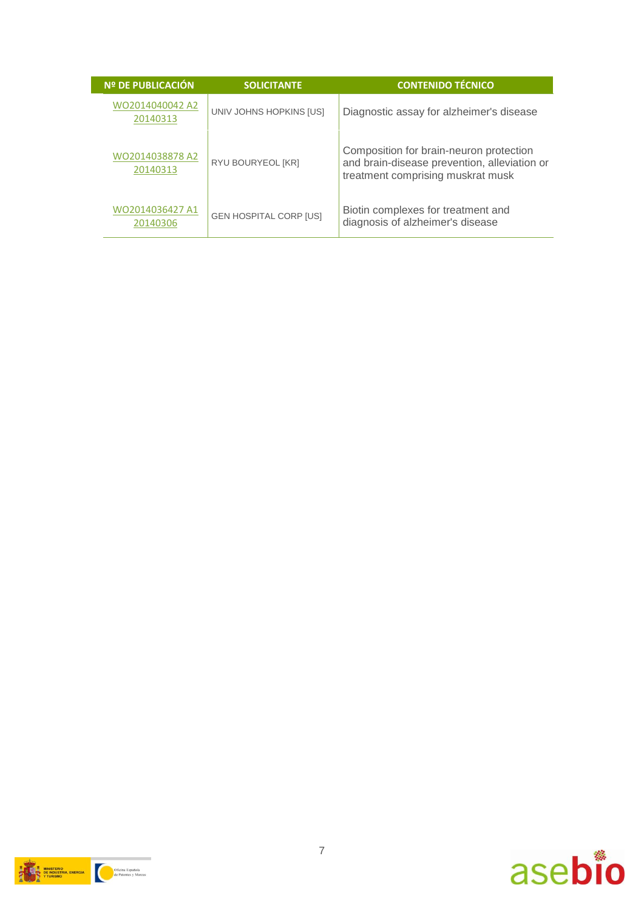| <b>Nº DE PUBLICACIÓN</b>    | <b>SOLICITANTE</b>            | <b>CONTENIDO TÉCNICO</b>                                                                                                     |
|-----------------------------|-------------------------------|------------------------------------------------------------------------------------------------------------------------------|
| WO2014040042 A2<br>20140313 | UNIV JOHNS HOPKINS [US]       | Diagnostic assay for alzheimer's disease                                                                                     |
| WO2014038878 A2<br>20140313 | RYU BOURYEOL [KR]             | Composition for brain-neuron protection<br>and brain-disease prevention, alleviation or<br>treatment comprising muskrat musk |
| WO2014036427 A1<br>20140306 | <b>GEN HOSPITAL CORP [US]</b> | Biotin complexes for treatment and<br>diagnosis of alzheimer's disease                                                       |



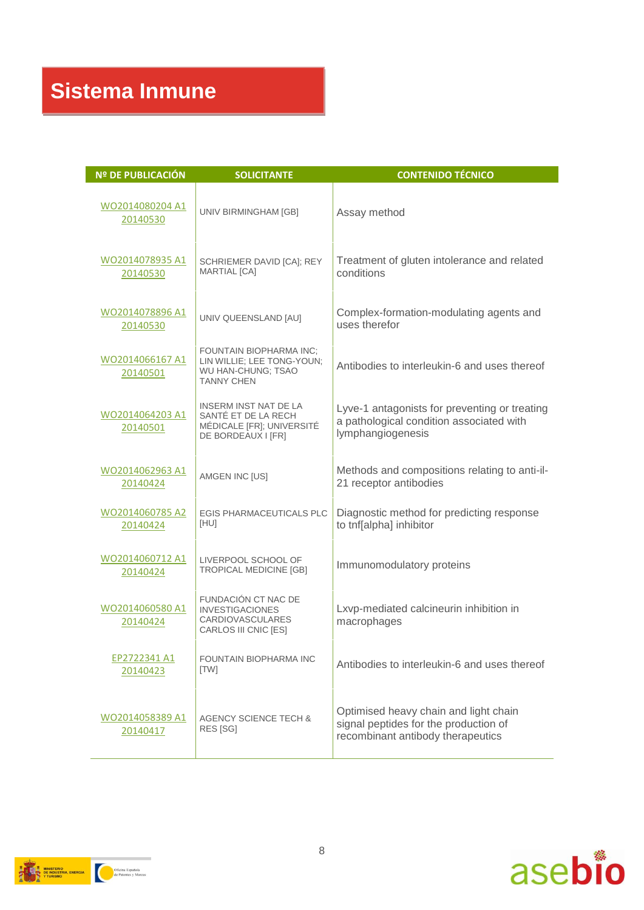| <b>Nº DE PUBLICACIÓN</b>    | <b>SOLICITANTE</b>                                                                                      | <b>CONTENIDO TÉCNICO</b>                                                                                            |
|-----------------------------|---------------------------------------------------------------------------------------------------------|---------------------------------------------------------------------------------------------------------------------|
| WO2014080204 A1<br>20140530 | UNIV BIRMINGHAM [GB]                                                                                    | Assay method                                                                                                        |
| WO2014078935 A1<br>20140530 | SCHRIEMER DAVID [CA]; REY<br><b>MARTIAL [CA]</b>                                                        | Treatment of gluten intolerance and related<br>conditions                                                           |
| WO2014078896 A1<br>20140530 | UNIV QUEENSLAND [AU]                                                                                    | Complex-formation-modulating agents and<br>uses therefor                                                            |
| WO2014066167 A1<br>20140501 | <b>FOUNTAIN BIOPHARMA INC:</b><br>LIN WILLIE; LEE TONG-YOUN;<br>WU HAN-CHUNG; TSAO<br><b>TANNY CHEN</b> | Antibodies to interleukin-6 and uses thereof                                                                        |
| WO2014064203 A1<br>20140501 | <b>INSERM INST NAT DE LA</b><br>SANTE ET DE LA RECH<br>MÉDICALE [FR]; UNIVERSITÉ<br>DE BORDEAUX I [FR]  | Lyve-1 antagonists for preventing or treating<br>a pathological condition associated with<br>lymphangiogenesis      |
| WO2014062963 A1<br>20140424 | AMGEN INC [US]                                                                                          | Methods and compositions relating to anti-il-<br>21 receptor antibodies                                             |
| WO2014060785 A2<br>20140424 | <b>EGIS PHARMACEUTICALS PLC</b><br>[HU]                                                                 | Diagnostic method for predicting response<br>to tnf[alpha] inhibitor                                                |
| WO2014060712 A1<br>20140424 | LIVERPOOL SCHOOL OF<br>TROPICAL MEDICINE [GB]                                                           | Immunomodulatory proteins                                                                                           |
| WO2014060580 A1<br>20140424 | FUNDACIÓN CT NAC DE<br><b>INVESTIGACIONES</b><br><b>CARDIOVASCULARES</b><br>CARLOS III CNIC [ES]        | Lxvp-mediated calcineurin inhibition in<br>macrophages                                                              |
| EP2722341 A1<br>20140423    | FOUNTAIN BIOPHARMA INC<br><b>ITW1</b>                                                                   | Antibodies to interleukin-6 and uses thereof                                                                        |
| WO2014058389 A1<br>20140417 | <b>AGENCY SCIENCE TECH &amp;</b><br>RES [SG]                                                            | Optimised heavy chain and light chain<br>signal peptides for the production of<br>recombinant antibody therapeutics |



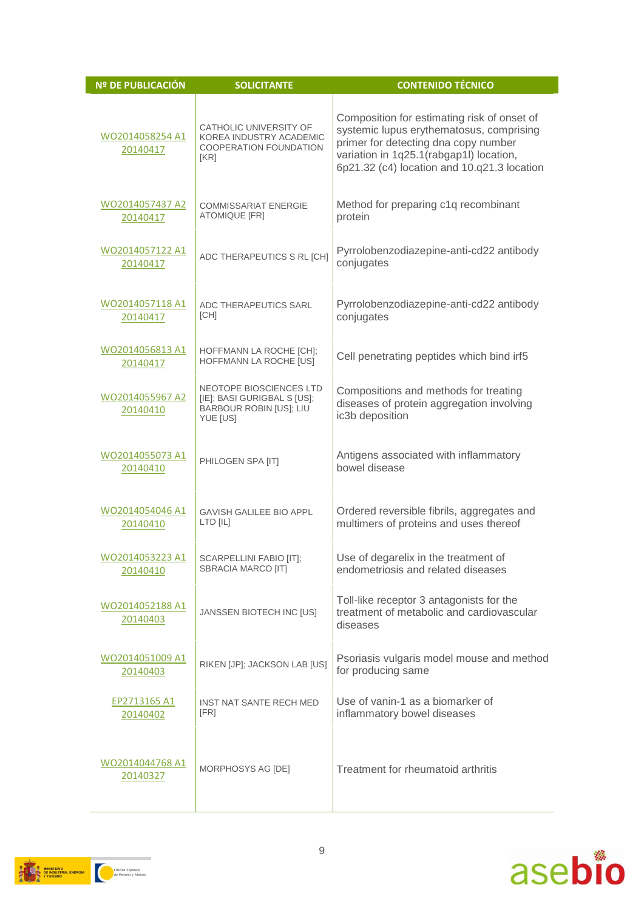| <b>Nº DE PUBLICACIÓN</b>    | <b>SOLICITANTE</b>                                                                                   | <b>CONTENIDO TÉCNICO</b>                                                                                                                                                                                                  |
|-----------------------------|------------------------------------------------------------------------------------------------------|---------------------------------------------------------------------------------------------------------------------------------------------------------------------------------------------------------------------------|
| WO2014058254 A1<br>20140417 | CATHOLIC UNIVERSITY OF<br>KOREA INDUSTRY ACADEMIC<br>COOPERATION FOUNDATION<br>[KR]                  | Composition for estimating risk of onset of<br>systemic lupus erythematosus, comprising<br>primer for detecting dna copy number<br>variation in 1q25.1(rabgap1l) location,<br>6p21.32 (c4) location and 10.q21.3 location |
| WO2014057437 A2<br>20140417 | <b>COMMISSARIAT ENERGIE</b><br><b>ATOMIQUE [FR]</b>                                                  | Method for preparing c1q recombinant<br>protein                                                                                                                                                                           |
| WO2014057122 A1<br>20140417 | ADC THERAPEUTICS S RL [CH]                                                                           | Pyrrolobenzodiazepine-anti-cd22 antibody<br>conjugates                                                                                                                                                                    |
| WO2014057118 A1<br>20140417 | <b>ADC THERAPEUTICS SARL</b><br>[CH]                                                                 | Pyrrolobenzodiazepine-anti-cd22 antibody<br>conjugates                                                                                                                                                                    |
| WO2014056813 A1<br>20140417 | HOFFMANN LA ROCHE [CH];<br>HOFFMANN LA ROCHE [US]                                                    | Cell penetrating peptides which bind irf5                                                                                                                                                                                 |
| WO2014055967 A2<br>20140410 | <b>NEOTOPE BIOSCIENCES LTD</b><br>[IE]; BASI GURIGBAL S [US];<br>BARBOUR ROBIN [US]; LIU<br>YUE [US] | Compositions and methods for treating<br>diseases of protein aggregation involving<br>ic3b deposition                                                                                                                     |
| WO2014055073 A1<br>20140410 | PHILOGEN SPA [IT]                                                                                    | Antigens associated with inflammatory<br>bowel disease                                                                                                                                                                    |
| WO2014054046 A1<br>20140410 | GAVISH GALILEE BIO APPL<br>LTD [IL]                                                                  | Ordered reversible fibrils, aggregates and<br>multimers of proteins and uses thereof                                                                                                                                      |
| WO2014053223 A1<br>20140410 | SCARPELLINI FABIO [IT];<br>SBRACIA MARCO [IT]                                                        | Use of degarelix in the treatment of<br>endometriosis and related diseases                                                                                                                                                |
| WO2014052188 A1<br>20140403 | JANSSEN BIOTECH INC [US]                                                                             | Toll-like receptor 3 antagonists for the<br>treatment of metabolic and cardiovascular<br>diseases                                                                                                                         |
| WO2014051009 A1<br>20140403 | RIKEN [JP]; JACKSON LAB [US]                                                                         | Psoriasis vulgaris model mouse and method<br>for producing same                                                                                                                                                           |
| EP2713165 A1<br>20140402    | INST NAT SANTE RECH MED<br>[FR]                                                                      | Use of vanin-1 as a biomarker of<br>inflammatory bowel diseases                                                                                                                                                           |
| WO2014044768 A1<br>20140327 | MORPHOSYS AG [DE]                                                                                    | Treatment for rheumatoid arthritis                                                                                                                                                                                        |

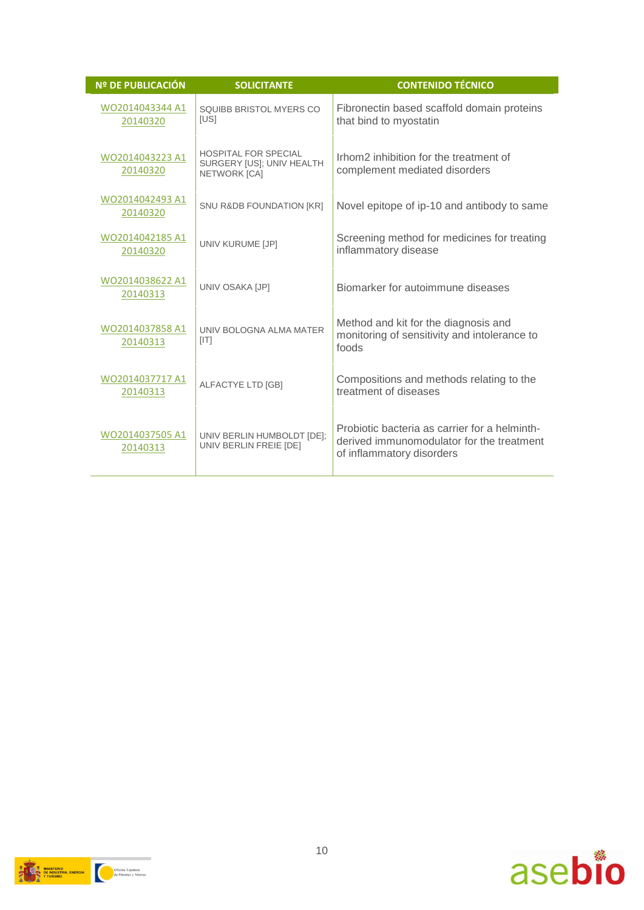| <b>Nº DE PUBLICACIÓN</b>    | <b>SOLICITANTE</b>                                                       | <b>CONTENIDO TÉCNICO</b>                                                                                                |
|-----------------------------|--------------------------------------------------------------------------|-------------------------------------------------------------------------------------------------------------------------|
| WO2014043344 A1<br>20140320 | SQUIBB BRISTOL MYERS CO<br>[US]                                          | Fibronectin based scaffold domain proteins<br>that bind to myostatin                                                    |
| WO2014043223 A1<br>20140320 | <b>HOSPITAL FOR SPECIAL</b><br>SURGERY [US]; UNIV HEALTH<br>NETWORK [CA] | Irhom2 inhibition for the treatment of<br>complement mediated disorders                                                 |
| WO2014042493 A1<br>20140320 | <b>SNU R&amp;DB FOUNDATION [KR]</b>                                      | Novel epitope of ip-10 and antibody to same                                                                             |
| WO2014042185 A1<br>20140320 | UNIV KURUME [JP]                                                         | Screening method for medicines for treating<br>inflammatory disease                                                     |
| WO2014038622 A1<br>20140313 | UNIV OSAKA [JP]                                                          | Biomarker for autoimmune diseases                                                                                       |
| WO2014037858 A1<br>20140313 | UNIV BOLOGNA ALMA MATER<br>[ T ]                                         | Method and kit for the diagnosis and<br>monitoring of sensitivity and intolerance to<br>foods                           |
| WO2014037717 A1<br>20140313 | ALFACTYE LTD [GB]                                                        | Compositions and methods relating to the<br>treatment of diseases                                                       |
| WO2014037505 A1<br>20140313 | UNIV BERLIN HUMBOLDT [DE];<br>UNIV BERLIN FREIE [DE]                     | Probiotic bacteria as carrier for a helminth-<br>derived immunomodulator for the treatment<br>of inflammatory disorders |



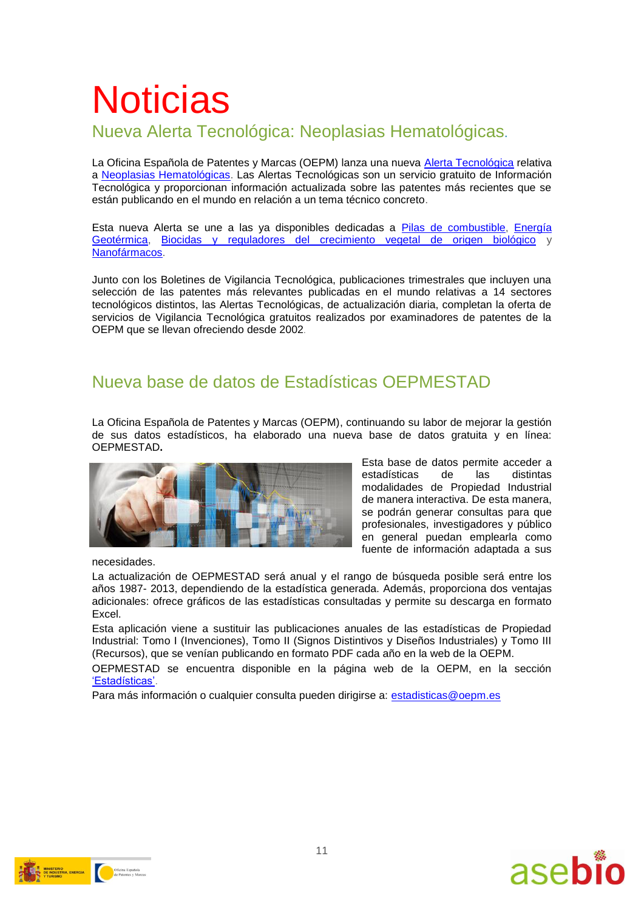# **Noticias**

### Nueva Alerta Tecnológica: Neoplasias Hematológicas**.**

La Oficina Española de Patentes y Marcas (OEPM) lanza una nueva [Alerta Tecnológica](http://www.oepm.es/es/informacion_tecnologica/informacion_gratuita/Alertas_Tecnologicas/) relativa a [Neoplasias Hematológicas.](http://www.oepm.es/es/informacion_tecnologica/informacion_gratuita/Alertas_Tecnologicas/detalle.html?id=400) Las Alertas Tecnológicas son un servicio gratuito de Información Tecnológica y proporcionan información actualizada sobre las patentes más recientes que se están publicando en el mundo en relación a un tema técnico concreto.

Esta nueva Alerta se une a las ya disponibles dedicadas a [Pilas de combustible,](http://www.oepm.es/es/informacion_tecnologica/informacion_gratuita/Alertas_Tecnologicas/detalle.html?id=2) [Energía](http://www.oepm.es/es/informacion_tecnologica/informacion_gratuita/Alertas_Tecnologicas/detalle.html?id=5)  [Geotérmica,](http://www.oepm.es/es/informacion_tecnologica/informacion_gratuita/Alertas_Tecnologicas/detalle.html?id=5) [Biocidas y reguladores del crecimiento vegetal de origen biológico](http://www.oepm.es/es/informacion_tecnologica/informacion_gratuita/Alertas_Tecnologicas/detalle.html?id=100) y [Nanofármacos.](http://www.oepm.es/es/informacion_tecnologica/informacion_gratuita/Alertas_Tecnologicas/detalle.html?id=4)

Junto con los Boletines de Vigilancia Tecnológica, publicaciones trimestrales que incluyen una selección de las patentes más relevantes publicadas en el mundo relativas a 14 sectores tecnológicos distintos, las Alertas Tecnológicas, de actualización diaria, completan la oferta de servicios de Vigilancia Tecnológica gratuitos realizados por examinadores de patentes de la OEPM que se llevan ofreciendo desde 2002.

### Nueva base de datos de Estadísticas OEPMESTAD

La [Oficina Española de Patentes y Marcas \(OEPM\),](http://www.oepm.es/es/index.html) continuando su labor de mejorar la gestión de sus datos estadísticos, ha elaborado una nueva base de datos gratuita y en línea: OEPMESTAD**.**



Esta base de datos permite acceder a estadísticas de las distintas modalidades de Propiedad Industrial de manera interactiva. De esta manera, se podrán generar consultas para que profesionales, investigadores y público en general puedan emplearla como fuente de información adaptada a sus

necesidades.

La actualización de OEPMESTAD será anual y el rango de búsqueda posible será entre los años 1987- 2013, dependiendo de la estadística generada. Además, proporciona dos ventajas adicionales: ofrece gráficos de las estadísticas consultadas y permite su descarga en formato Excel.

Esta aplicación viene a sustituir las publicaciones anuales de las estadísticas de Propiedad Industrial: Tomo I (Invenciones), Tomo II (Signos Distintivos y Diseños Industriales) y Tomo III (Recursos), que se venían publicando en formato PDF cada año en la web de la OEPM.

OEPMESTAD se encuentra disponible en la página web de la OEPM, en la sección ['Estadísticas'.](http://www.oepm.es/es/sobre_oepm/actividades_estadisticas/)

Para más información o cualquier consulta pueden dirigirse a: [estadisticas@oepm.es](mailto:estadisticas@oepm.es)